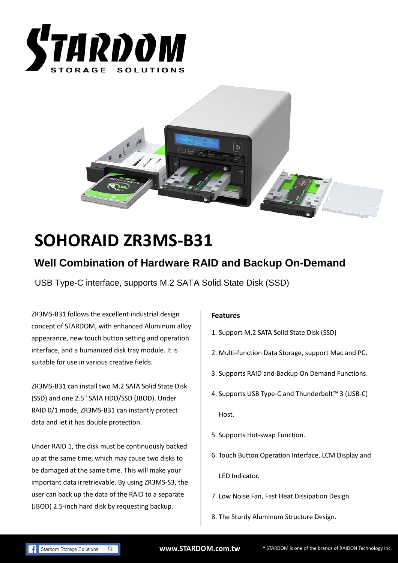



# **SOHORAID ZR3MS-B31**

## **Well Combination of Hardware RAID and Backup On-Demand**

USB Type-C interface, supports M.2 SATA Solid State Disk (SSD)

ZR3MS-B31 follows the excellent industrial design concept of STARDOM, with enhanced Aluminum alloy appearance, new touch button setting and operation interface, and a humanized disk tray module. It is suitable for use in various creative fields.

ZR3MS-B31 can install two M.2 SATA Solid State Disk (SSD) and one 2.5" SATA HDD/SSD (JBOD). Under RAID 0/1 mode, ZR3MS-B31 can instantly protect data and let it has double protection.

Under RAID 1, the disk must be continuously backed up at the same time, which may cause two disks to be damaged at the same time. This will make your important data irretrievable. By using ZR3MS-S3, the user can back up the data of the RAID to a separate (JBOD) 2.5-inch hard disk by requesting backup.

#### **Features**

- 1. Support M.2 SATA Solid State Disk (SSD)
- 2. Multi-function Data Storage, support Mac and PC.
- 3. Supports RAID and Backup On Demand Functions.
- 4. Supports USB Type-C and Thunderbolt™ 3 (USB-C) Host.
- 5. Supports Hot-swap Function.
- 6. Touch Button Operation Interface, LCM Display and LED Indicator.
- 7. Low Noise Fan, Fast Heat Dissipation Design.
- 8. The Sturdy Aluminum Structure Design.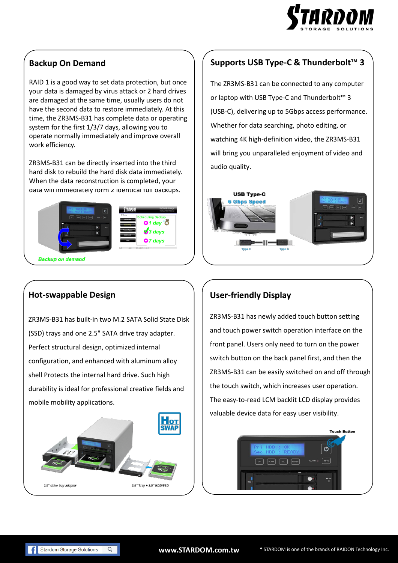

#### **Backup On Demand**

RAID 1 is a good way to set data protection, but once your data is damaged by virus attack or 2 hard drives are damaged at the same time, usually users do not have the second data to restore immediately. At this time, the ZR3MS-B31 has complete data or operating system for the first 1/3/7 days, allowing you to operate normally immediately and improve overall work efficiency.

ZR3MS-B31 can be directly inserted into the third hard disk to rebuild the hard disk data immediately. When the data reconstruction is completed, your data will immediately form 2 identical full backups.



#### **Hot-swappable Design**

ZR3MS-B31 has built-in two M.2 SATA Solid State Disk (SSD) trays and one 2.5" SATA drive tray adapter. Perfect structural design, optimized internal configuration, and enhanced with aluminum alloy shell Protects the internal hard drive. Such high durability is ideal for professional creative fields and mobile mobility applications.



#### **Supports USB Type-C & Thunderbolt™ 3**

The ZR3MS-B31 can be connected to any computer or laptop with USB Type-C and Thunderbolt™ 3 (USB-C), delivering up to 5Gbps access performance. Whether for data searching, photo editing, or watching 4K high-definition video, the ZR3MS-B31 will bring you unparalleled enjoyment of video and audio quality.



### **User-friendly Display**

ZR3MS-B31 has newly added touch button setting and touch power switch operation interface on the front panel. Users only need to turn on the power switch button on the back panel first, and then the ZR3MS-B31 can be easily switched on and off through the touch switch, which increases user operation. The easy-to-read LCM backlit LCD display provides valuable device data for easy user visibility.